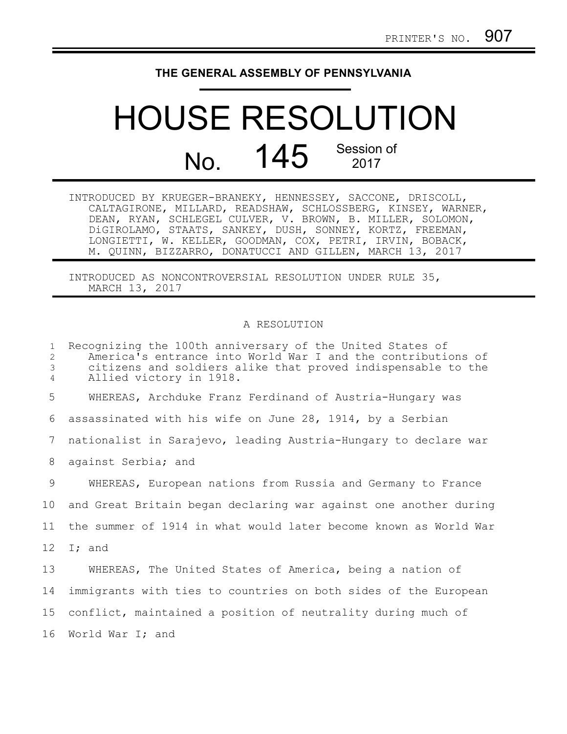## **THE GENERAL ASSEMBLY OF PENNSYLVANIA**

## HOUSE RESOLUTION No. 145 Session of

| INTRODUCED BY KRUEGER-BRANEKY, HENNESSEY, SACCONE, DRISCOLL, |  |  |
|--------------------------------------------------------------|--|--|
| CALTAGIRONE, MILLARD, READSHAW, SCHLOSSBERG, KINSEY, WARNER, |  |  |
| DEAN, RYAN, SCHLEGEL CULVER, V. BROWN, B. MILLER, SOLOMON,   |  |  |
| DiGIROLAMO, STAATS, SANKEY, DUSH, SONNEY, KORTZ, FREEMAN,    |  |  |
| LONGIETTI, W. KELLER, GOODMAN, COX, PETRI, IRVIN, BOBACK,    |  |  |
| M. QUINN, BIZZARRO, DONATUCCI AND GILLEN, MARCH 13, 2017     |  |  |

INTRODUCED AS NONCONTROVERSIAL RESOLUTION UNDER RULE 35, MARCH 13, 2017

## A RESOLUTION

| $\mathbf{1}$<br>2<br>3<br>4 | Recognizing the 100th anniversary of the United States of<br>America's entrance into World War I and the contributions of<br>citizens and soldiers alike that proved indispensable to the<br>Allied victory in 1918. |
|-----------------------------|----------------------------------------------------------------------------------------------------------------------------------------------------------------------------------------------------------------------|
| 5                           | WHEREAS, Archduke Franz Ferdinand of Austria-Hungary was                                                                                                                                                             |
| 6                           | assassinated with his wife on June 28, 1914, by a Serbian                                                                                                                                                            |
| 7                           | nationalist in Sarajevo, leading Austria-Hungary to declare war                                                                                                                                                      |
| 8                           | against Serbia; and                                                                                                                                                                                                  |
| 9                           | WHEREAS, European nations from Russia and Germany to France                                                                                                                                                          |
| 10                          | and Great Britain began declaring war against one another during                                                                                                                                                     |
| 11                          | the summer of 1914 in what would later become known as World War                                                                                                                                                     |
| 12                          | I; and                                                                                                                                                                                                               |
| 13                          | WHEREAS, The United States of America, being a nation of                                                                                                                                                             |
| 14                          | immigrants with ties to countries on both sides of the European                                                                                                                                                      |
| 15 <sub>1</sub>             | conflict, maintained a position of neutrality during much of                                                                                                                                                         |
| 16                          | World War I; and                                                                                                                                                                                                     |